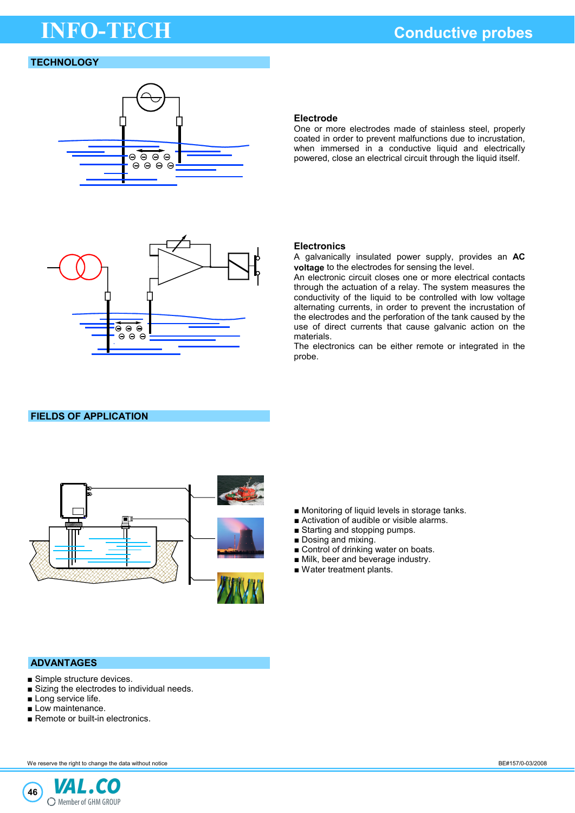# **THEO-TECH CONDUCTECH Conductive probes**

# **TECHNOLOGY**



# **Electrode**

One or more electrodes made of stainless steel, properly coated in order to prevent malfunctions due to incrustation, when immersed in a conductive liquid and electrically powered, close an electrical circuit through the liquid itself.



### **Electronics**

A galvanically insulated power supply, provides an **AC voltage** to the electrodes for sensing the level.

An electronic circuit closes one or more electrical contacts through the actuation of a relay. The system measures the conductivity of the liquid to be controlled with low voltage alternating currents, in order to prevent the incrustation of the electrodes and the perforation of the tank caused by the use of direct currents that cause galvanic action on the materials.

The electronics can be either remote or integrated in the probe.

# **FIELDS OF APPLICATION**



- Monitoring of liquid levels in storage tanks.
- Activation of audible or visible alarms.
- Starting and stopping pumps.
- Dosing and mixing.
- Control of drinking water on boats.
- Milk, beer and beverage industry.
- Water treatment plants.

# **ADVANTAGES**

- Simple structure devices.
- Sizing the electrodes to individual needs.
- Long service life.
- Low maintenance.
- Remote or built-in electronics.

We reserve the right to change the data without notice **BE#157/0-03/2008** BE#157/0-03/2008